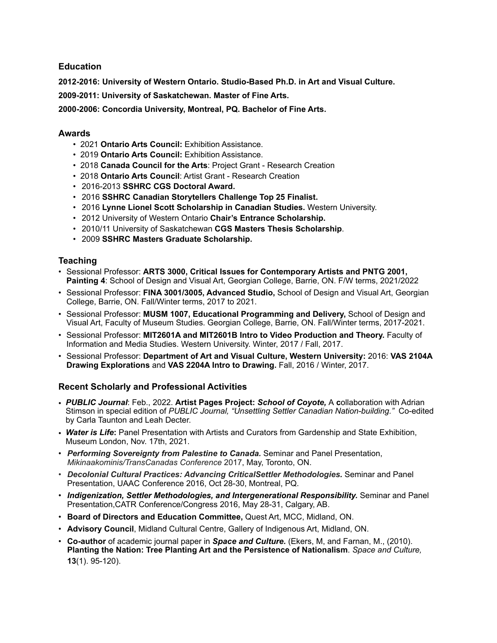#### **Education**

**2012-2016: University of Western Ontario. Studio-Based Ph.D. in Art and Visual Culture.**

**2009-2011: University of Saskatchewan. Master of Fine Arts.**

**2000-2006: Concordia University, Montreal, PQ. Bachelor of Fine Arts.** 

## **Awards**

- 2021 **Ontario Arts Council:** Exhibition Assistance.
- 2019 **Ontario Arts Council:** Exhibition Assistance.
- 2018 **Canada Council for the Arts**: Project Grant Research Creation
- 2018 **Ontario Arts Council**: Artist Grant Research Creation
- 2016-2013 **SSHRC CGS Doctoral Award.**
- 2016 **SSHRC Canadian Storytellers Challenge Top 25 Finalist.**
- 2016 **Lynne Lionel Scott Scholarship in Canadian Studies.** Western University.
- 2012 University of Western Ontario **Chair's Entrance Scholarship.**
- 2010/11 University of Saskatchewan **CGS Masters Thesis Scholarship**.
- 2009 **SSHRC Masters Graduate Scholarship.**

## **Teaching**

- Sessional Professor: **ARTS 3000, Critical Issues for Contemporary Artists and PNTG 2001, Painting 4**: School of Design and Visual Art, Georgian College, Barrie, ON. F/W terms, 2021/2022
- Sessional Professor: **FINA 3001/3005, Advanced Studio,** School of Design and Visual Art, Georgian College, Barrie, ON. Fall/Winter terms, 2017 to 2021.
- Sessional Professor: **MUSM 1007, Educational Programming and Delivery,** School of Design and Visual Art, Faculty of Museum Studies. Georgian College, Barrie, ON. Fall/Winter terms, 2017-2021.
- Sessional Professor: **MIT2601A and MIT2601B Intro to Video Production and Theory.** Faculty of Information and Media Studies. Western University. Winter, 2017 / Fall, 2017.
- Sessional Professor: **Department of Art and Visual Culture, Western University:** 2016: **VAS 2104A Drawing Explorations** and **VAS 2204A Intro to Drawing.** Fall, 2016 / Winter, 2017.

# **Recent Scholarly and Professional Activities**

- *PUBLIC Journal*: Feb., 2022. **Artist Pages Project:** *School of Coyote,* A **c**ollaboration with Adrian Stimson in special edition of *PUBLIC Journal, "Unsettling Settler Canadian Nation-building."* Co-edited by Carla Taunton and Leah Decter.
- *Water is Life***:** Panel Presentation with Artists and Curators from Gardenship and State Exhibition, Museum London, Nov. 17th, 2021.
- *Performing Sovereignty from Palestine to Canada.* Seminar and Panel Presentation, *Mikinaakominis/TransCanadas Conference* 2017, May, Toronto, ON.
- *Decolonial Cultural Practices: Advancing CriticalSettler Methodologies.* Seminar and Panel Presentation, UAAC Conference 2016, Oct 28-30, Montreal, PQ.
- *Indigenization, Settler Methodologies, and Intergenerational Responsibility.* Seminar and Panel Presentation,CATR Conference/Congress 2016, May 28-31, Calgary, AB.
- **Board of Directors and Education Committee,** Quest Art, MCC, Midland, ON.
- **Advisory Council**, Midland Cultural Centre, Gallery of Indigenous Art, Midland, ON.
- **Co-author** of academic journal paper in *Space and Culture.* (Ekers, M, and Farnan, M., (2010). **Planting the Nation: Tree Planting Art and the Persistence of Nationalism**. *Space and Culture,*  **13**(1). 95-120).